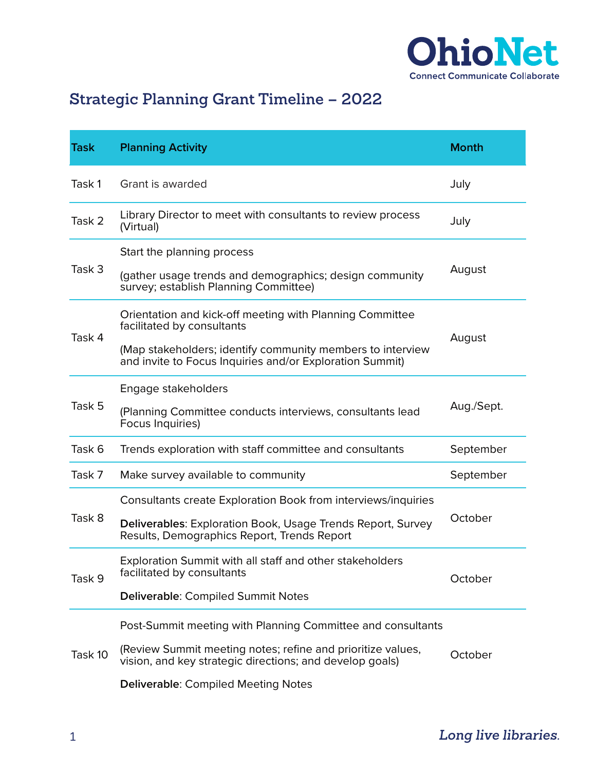

## **Strategic Planning Grant Timeline – 2022**

| Task    | <b>Planning Activity</b>                                                                                                | <b>Month</b> |
|---------|-------------------------------------------------------------------------------------------------------------------------|--------------|
| Task 1  | Grant is awarded                                                                                                        | July         |
| Task 2  | Library Director to meet with consultants to review process<br>(Virtual)                                                | July         |
| Task 3  | Start the planning process                                                                                              | August       |
|         | (gather usage trends and demographics; design community<br>survey; establish Planning Committee)                        |              |
| Task 4  | Orientation and kick-off meeting with Planning Committee<br>facilitated by consultants                                  | August       |
|         | (Map stakeholders; identify community members to interview<br>and invite to Focus Inquiries and/or Exploration Summit)  |              |
| Task 5  | Engage stakeholders                                                                                                     | Aug./Sept.   |
|         | (Planning Committee conducts interviews, consultants lead<br>Focus Inquiries)                                           |              |
| Task 6  | Trends exploration with staff committee and consultants                                                                 | September    |
| Task 7  | Make survey available to community                                                                                      | September    |
| Task 8  | Consultants create Exploration Book from interviews/inquiries                                                           | October      |
|         | <b>Deliverables: Exploration Book, Usage Trends Report, Survey</b><br>Results, Demographics Report, Trends Report       |              |
| Task 9  | Exploration Summit with all staff and other stakeholders<br>facilitated by consultants                                  | October      |
|         | <b>Deliverable: Compiled Summit Notes</b>                                                                               |              |
| Task 10 | Post-Summit meeting with Planning Committee and consultants                                                             | October      |
|         | (Review Summit meeting notes; refine and prioritize values,<br>vision, and key strategic directions; and develop goals) |              |
|         | <b>Deliverable: Compiled Meeting Notes</b>                                                                              |              |